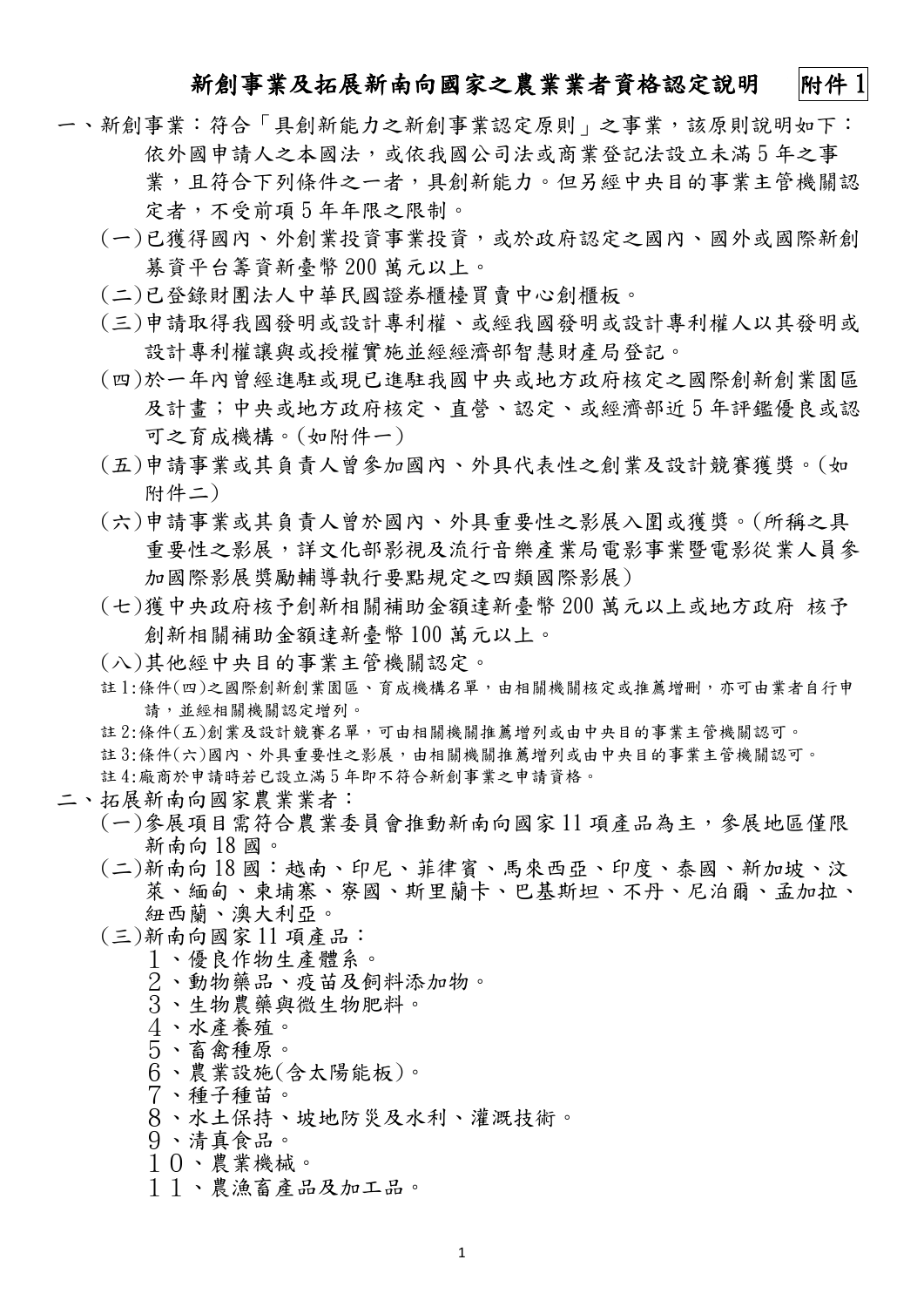#### 新創事業及拓展新南向國家之農業業者資格認定說明 附件1

- 一、新創事業:符合「具創新能力之新創事業認定原則」之事業,該原則說明如下: 依外國申請人之本國法,或依我國公司法或商業登記法設立未滿 5 年之事 業,且符合下列條件之一者,具創新能力。但另經中央目的事業主管機關認 定者,不受前項 5 年年限之限制。
	- (一)已獲得國內、外創業投資事業投資,或於政府認定之國內、國外或國際新創 募資平台籌資新臺幣 200 萬元以上。
	- (二)已登錄財團法人中華民國證券櫃檯買賣中心創櫃板。
	- (三)申請取得我國發明或設計專利權、或經我國發明或設計專利權人以其發明或 設計專利權讓與或授權實施並經經濟部智慧財產局登記。
	- (四)於一年內曾經進駐或現已進駐我國中央或地方政府核定之國際創新創業園區 及計畫;中央或地方政府核定、直營、認定、或經濟部近 5 年評鑑優良或認 可之育成機構。(如附件一)
	- (五)申請事業或其負責人曾參加國內、外具代表性之創業及設計競賽獲獎。(如 附件二)
	- (六)申請事業或其負責人曾於國內、外具重要性之影展入圍或獲獎。(所稱之具 重要性之影展,詳文化部影視及流行音樂產業局電影事業暨電影從業人員參 加國際影展獎勵輔導執行要點規定之四類國際影展)
	- (七)獲中央政府核予創新相關補助金額達新臺幣 200 萬元以上或地方政府 核予 創新相關補助金額達新臺幣 100 萬元以上。
	- (八)其他經中央目的事業主管機關認定。
	- 註1:條件(四)之國際創新創業園區、育成機構名單,由相關機關核定或推薦增刪,亦可由業者自行申 請,並經相關機關認定增列。
	- 註 2:條件(五)創業及設計競賽名單,可由相關機關推薦增列或由中央目的事業主管機關認可。 註 3:條件(六)國內、外具重要性之影展,由相關機關推薦增列或由中央目的事業主管機關認可。 註 4:廠商於申請時若已設立滿 5 年即不符合新創事業之申請資格。

#### 二、拓展新南向國家農業業者:

- (一)參展項目需符合農業委員會推動新南向國家 11 項產品為主,參展地區僅限 新南向 18 國。
- (二)新南向 18 國:越南、印尼、菲律賓、馬來西亞、印度、泰國、新加坡、汶 萊、緬甸、柬埔寨、寮國、斯里蘭卡、巴基斯坦、不丹、尼泊爾、孟加拉、 紐西蘭、澳大利亞。
- (三)新南向國家 11 項產品:
	- 1、優良作物生產體系。
	- 2、動物藥品、疫苗及飼料添加物。
	- 3、生物農藥與微生物肥料。
	- 4、水產養殖。
	- 5、畜禽種原。
	- 6、農業設施(含太陽能板)。
	- 7、種子種苗。
	- 8、水土保持、坡地防災及水利、灌溉技術。
	- 9、清真食品。
	- 10、農業機械。
	- 11、農漁畜產品及加工品。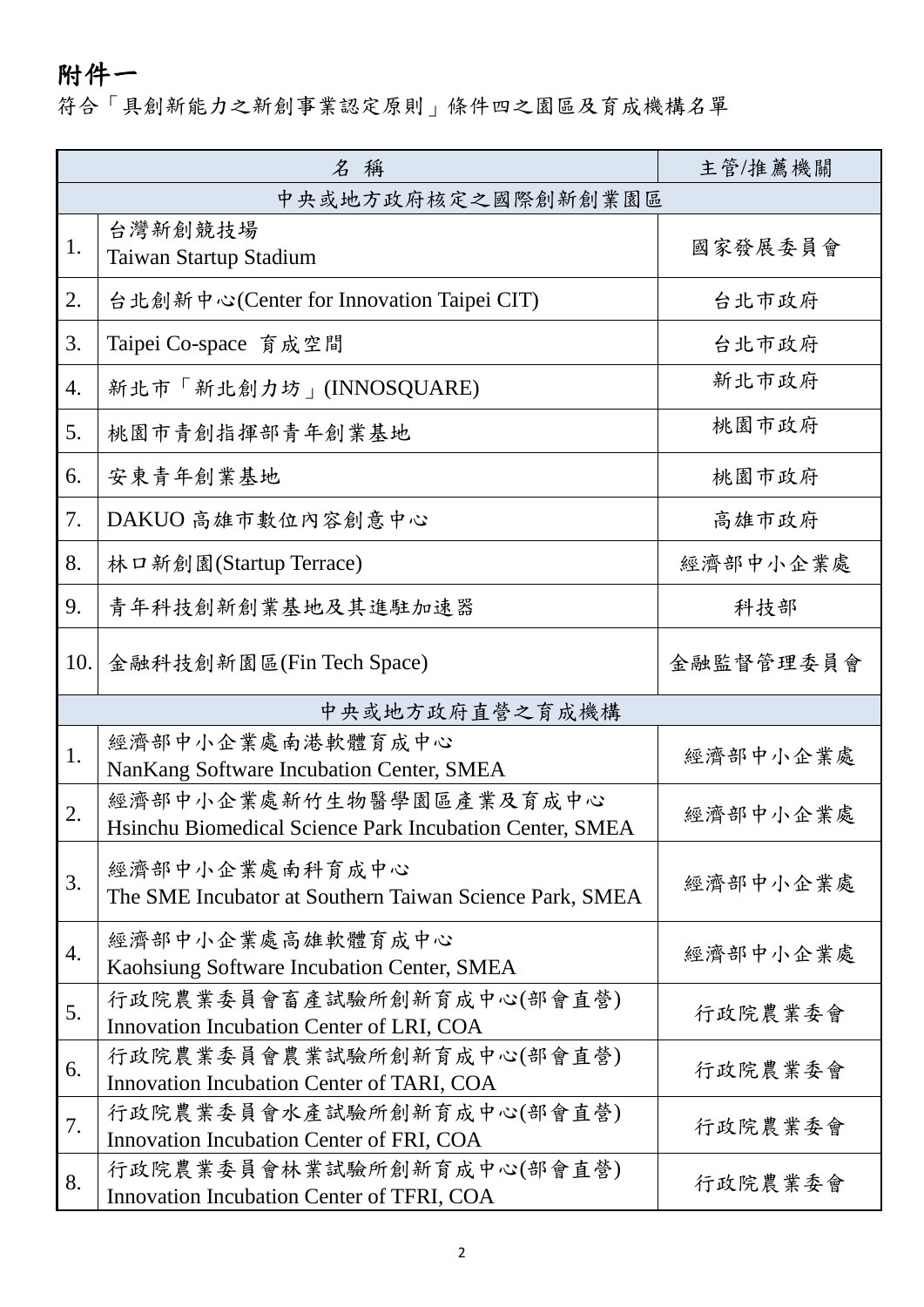# 附件一

### 符合「具創新能力之新創事業認定原則」條件四之園區及育成機構名單

|                    | 名稱                                                                                 | 主管/推薦機關   |  |
|--------------------|------------------------------------------------------------------------------------|-----------|--|
| 中央或地方政府核定之國際創新創業園區 |                                                                                    |           |  |
| 1.                 | 台灣新創競技場<br>Taiwan Startup Stadium                                                  | 國家發展委員會   |  |
| 2.                 | 台北創新中心(Center for Innovation Taipei CIT)                                           | 台北市政府     |  |
| 3.                 | Taipei Co-space 育成空間                                                               | 台北市政府     |  |
| 4.                 | 新北市「新北創力坊」(INNOSQUARE)                                                             | 新北市政府     |  |
| 5.                 | 桃園市青創指揮部青年創業基地                                                                     | 桃園市政府     |  |
| 6.                 | 安東青年創業基地                                                                           | 桃園市政府     |  |
| 7.                 | DAKUO 高雄市數位內容創意中心                                                                  | 高雄市政府     |  |
| 8.                 | 林ロ新創園(Startup Terrace)                                                             | 經濟部中小企業處  |  |
| 9.                 | 青年科技創新創業基地及其進駐加速器                                                                  | 科技部       |  |
| 10.                | 金融科技創新園區(Fin Tech Space)                                                           | 金融監督管理委員會 |  |
|                    | 中央或地方政府直營之育成機構                                                                     |           |  |
| 1.                 | 經濟部中小企業處南港軟體育成中心<br>NanKang Software Incubation Center, SMEA                       | 經濟部中小企業處  |  |
| 2.                 | 經濟部中小企業處新竹生物醫學園區產業及育成中心<br>Hsinchu Biomedical Science Park Incubation Center, SMEA | 經濟部中小企業處  |  |
| 3.                 | 經濟部中小企業處南科育成中心<br>The SME Incubator at Southern Taiwan Science Park, SMEA          | 經濟部中小企業處  |  |
| 4.                 | 經濟部中小企業處高雄軟體育成中心<br>Kaohsiung Software Incubation Center, SMEA                     | 經濟部中小企業處  |  |
| 5.                 | 行政院農業委員會畜產試驗所創新育成中心(部會直營)<br>Innovation Incubation Center of LRI, COA              | 行政院農業委會   |  |
| 6.                 | 行政院農業委員會農業試驗所創新育成中心(部會直營)<br>Innovation Incubation Center of TARI, COA             | 行政院農業委會   |  |
| 7.                 | 行政院農業委員會水產試驗所創新育成中心(部會直營)<br>Innovation Incubation Center of FRI, COA              | 行政院農業委會   |  |
| 8.                 | 行政院農業委員會林業試驗所創新育成中心(部會直營)<br>Innovation Incubation Center of TFRI, COA             | 行政院農業委會   |  |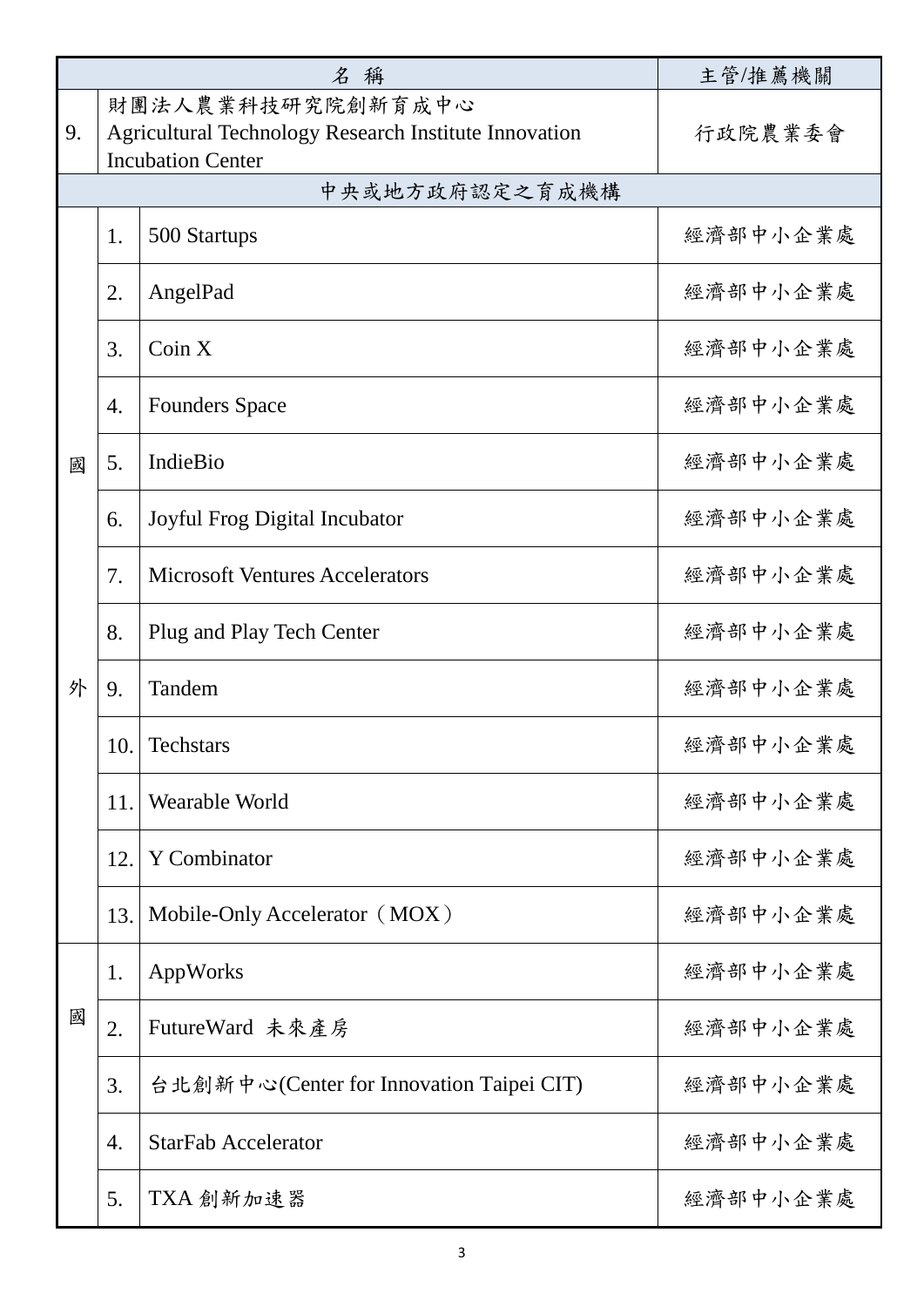| 名稱     |                   |                                                              | 主管/推薦機關  |
|--------|-------------------|--------------------------------------------------------------|----------|
|        | 財團法人農業科技研究院創新育成中心 |                                                              |          |
| 9.     |                   | <b>Agricultural Technology Research Institute Innovation</b> | 行政院農業委會  |
|        |                   | <b>Incubation Center</b>                                     |          |
|        |                   | 中央或地方政府認定之育成機構                                               |          |
| 國<br>外 | 1.                | 500 Startups                                                 | 經濟部中小企業處 |
|        | 2.                | AngelPad                                                     | 經濟部中小企業處 |
|        | 3.                | Coin X                                                       | 經濟部中小企業處 |
|        | 4.                | <b>Founders Space</b>                                        | 經濟部中小企業處 |
|        | 5.                | IndieBio                                                     | 經濟部中小企業處 |
|        | 6.                | Joyful Frog Digital Incubator                                | 經濟部中小企業處 |
|        | 7.                | <b>Microsoft Ventures Accelerators</b>                       | 經濟部中小企業處 |
|        | 8.                | Plug and Play Tech Center                                    | 經濟部中小企業處 |
|        | 9.                | Tandem                                                       | 經濟部中小企業處 |
|        | 10.               | <b>Techstars</b>                                             | 經濟部中小企業處 |
|        | 11.               | Wearable World                                               | 經濟部中小企業處 |
|        | 12.               | Y Combinator                                                 | 經濟部中小企業處 |
|        | 13.               | Mobile-Only Accelerator (MOX)                                | 經濟部中小企業處 |
| 國      | 1.                | AppWorks                                                     | 經濟部中小企業處 |
|        | 2.                | FutureWard 未來產房                                              | 經濟部中小企業處 |
|        | 3.                | 台北創新中心(Center for Innovation Taipei CIT)                     | 經濟部中小企業處 |
|        | 4.                | <b>StarFab Accelerator</b>                                   | 經濟部中小企業處 |
|        | 5.                | TXA 創新加速器                                                    | 經濟部中小企業處 |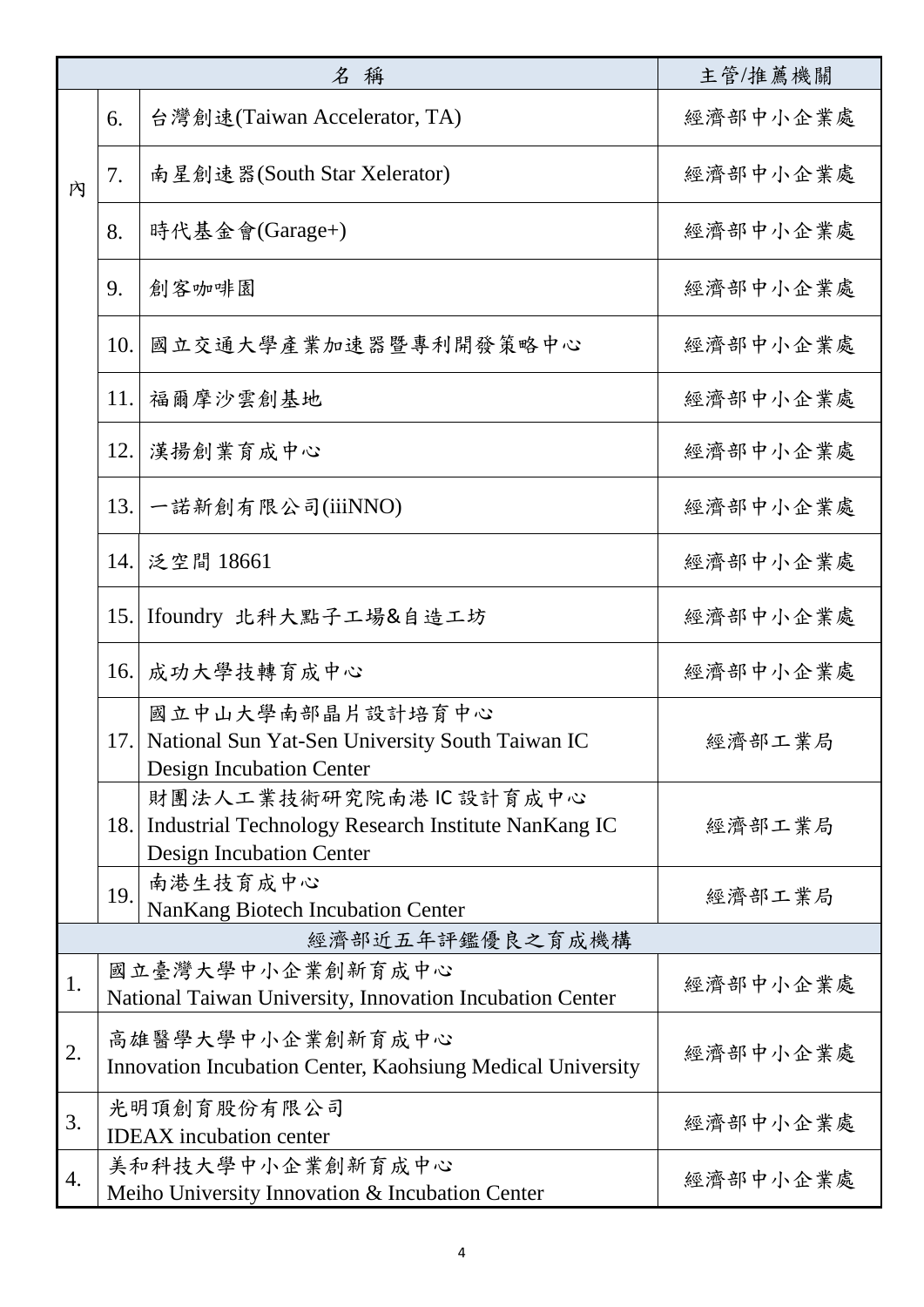| 名稱              |     |                                                                                                                 | 主管/推薦機關  |  |
|-----------------|-----|-----------------------------------------------------------------------------------------------------------------|----------|--|
|                 | 6.  | 台灣創速(Taiwan Accelerator, TA)                                                                                    | 經濟部中小企業處 |  |
| 内               | 7.  | 南星創速器(South Star Xelerator)                                                                                     | 經濟部中小企業處 |  |
|                 | 8.  | 時代基金會(Garage+)                                                                                                  | 經濟部中小企業處 |  |
|                 | 9.  | 創客咖啡園                                                                                                           | 經濟部中小企業處 |  |
|                 | 10. | 國立交通大學產業加速器暨專利開發策略中心                                                                                            | 经濟部中小企業處 |  |
|                 | 11. | 福爾摩沙雲創基地                                                                                                        | 经濟部中小企業處 |  |
|                 | 12. | 漢揚創業育成中心                                                                                                        | 經濟部中小企業處 |  |
|                 | 13. | 一諾新創有限公司(iiiNNO)                                                                                                | 经濟部中小企業處 |  |
|                 |     | 14. 泛空間 18661                                                                                                   | 經濟部中小企業處 |  |
|                 | 15. | Ifoundry 北科大點子工場&自造工坊                                                                                           | 經濟部中小企業處 |  |
|                 | 16. | 成功大學技轉育成中心                                                                                                      | 经濟部中小企業處 |  |
|                 |     | 國立中山大學南部晶片設計培育中心<br>17. National Sun Yat-Sen University South Taiwan IC<br>Design Incubation Center             | 經濟部工業局   |  |
|                 | 18. | 財團法人工業技術研究院南港IC設計育成中心<br>Industrial Technology Research Institute NanKang IC<br><b>Design Incubation Center</b> | 經濟部工業局   |  |
|                 | 19. | 南港生技育成中心<br><b>NanKang Biotech Incubation Center</b>                                                            | 經濟部工業局   |  |
| 經濟部近五年評鑑優良之育成機構 |     |                                                                                                                 |          |  |
| 1.              |     | 國立臺灣大學中小企業創新育成中心<br>National Taiwan University, Innovation Incubation Center                                    | 經濟部中小企業處 |  |
| 2.              |     | 高雄醫學大學中小企業創新育成中心<br>Innovation Incubation Center, Kaohsiung Medical University                                  | 經濟部中小企業處 |  |
| 3.              |     | 光明頂創育股份有限公司<br><b>IDEAX</b> incubation center                                                                   | 經濟部中小企業處 |  |
| 4.              |     | 美和科技大學中小企業創新育成中心<br>Meiho University Innovation & Incubation Center                                             | 經濟部中小企業處 |  |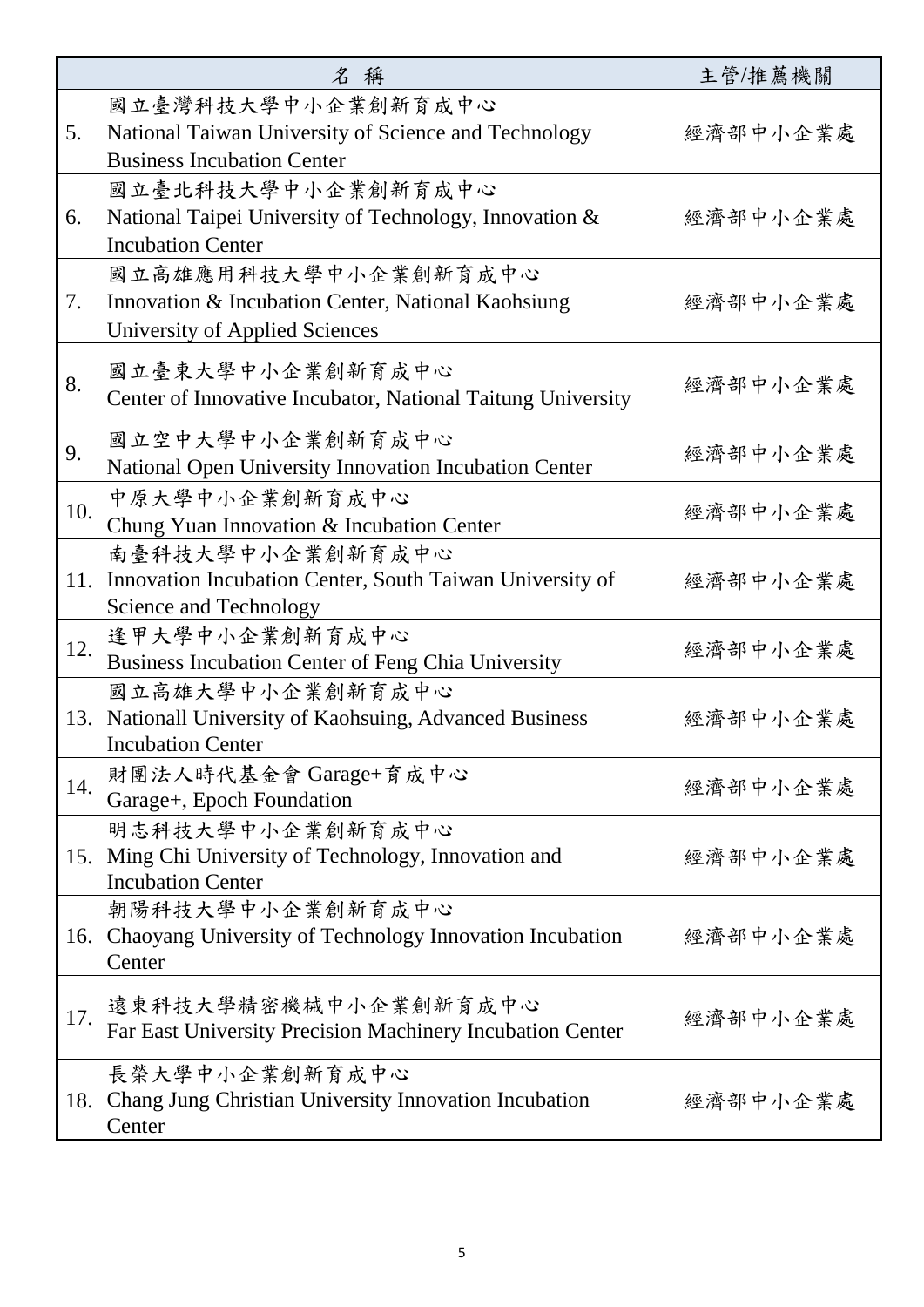| 名稱  |                                                                                                                 | 主管/推薦機關  |
|-----|-----------------------------------------------------------------------------------------------------------------|----------|
| 5.  | 國立臺灣科技大學中小企業創新育成中心<br>National Taiwan University of Science and Technology<br><b>Business Incubation Center</b> | 經濟部中小企業處 |
| 6.  | 國立臺北科技大學中小企業創新育成中心<br>National Taipei University of Technology, Innovation &<br><b>Incubation Center</b>        | 經濟部中小企業處 |
| 7.  | 國立高雄應用科技大學中小企業創新育成中心<br>Innovation & Incubation Center, National Kaohsiung<br>University of Applied Sciences    | 經濟部中小企業處 |
| 8.  | 國立臺東大學中小企業創新育成中心<br>Center of Innovative Incubator, National Taitung University                                 | 經濟部中小企業處 |
| 9.  | 國立空中大學中小企業創新育成中心<br>National Open University Innovation Incubation Center                                       | 經濟部中小企業處 |
| 10. | 中原大學中小企業創新育成中心<br>Chung Yuan Innovation & Incubation Center                                                     | 經濟部中小企業處 |
| 11. | 南臺科技大學中小企業創新育成中心<br>Innovation Incubation Center, South Taiwan University of<br>Science and Technology          | 經濟部中小企業處 |
| 12. | 逢甲大學中小企業創新育成中心<br>Business Incubation Center of Feng Chia University                                            | 經濟部中小企業處 |
| 13. | 國立高雄大學中小企業創新育成中心<br>Nationall University of Kaohsuing, Advanced Business<br><b>Incubation Center</b>            | 經濟部中小企業處 |
| 14. | 財團法人時代基金會 Garage+育成中心<br>Garage+, Epoch Foundation                                                              | 經濟部中小企業處 |
| 15. | 明志科技大學中小企業創新育成中心<br>Ming Chi University of Technology, Innovation and<br><b>Incubation Center</b>               | 經濟部中小企業處 |
| 16. | 朝陽科技大學中小企業創新育成中心<br>Chaoyang University of Technology Innovation Incubation<br>Center                           | 經濟部中小企業處 |
| 17. | 遠東科技大學精密機械中小企業創新育成中心<br>Far East University Precision Machinery Incubation Center                               | 經濟部中小企業處 |
| 18. | 長榮大學中小企業創新育成中心<br>Chang Jung Christian University Innovation Incubation<br>Center                               | 經濟部中小企業處 |